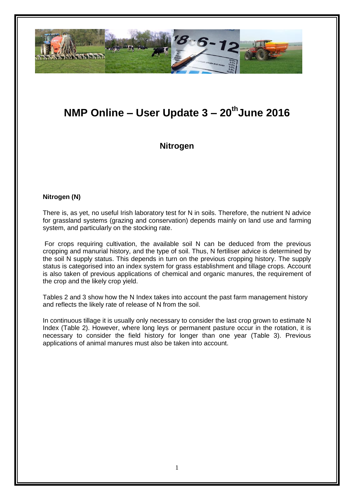

# **NMP Online – User Update 3 – 20thJune 2016**

**Nitrogen**

#### **Nitrogen (N)**

There is, as yet, no useful Irish laboratory test for N in soils. Therefore, the nutrient N advice for grassland systems (grazing and conservation) depends mainly on land use and farming system, and particularly on the stocking rate.

For crops requiring cultivation, the available soil N can be deduced from the previous cropping and manurial history, and the type of soil. Thus, N fertiliser advice is determined by the soil N supply status. This depends in turn on the previous cropping history. The supply status is categorised into an index system for grass establishment and tillage crops. Account is also taken of previous applications of chemical and organic manures, the requirement of the crop and the likely crop yield.

Tables 2 and 3 show how the N Index takes into account the past farm management history and reflects the likely rate of release of N from the soil.

In continuous tillage it is usually only necessary to consider the last crop grown to estimate N Index (Table 2). However, where long leys or permanent pasture occur in the rotation, it is necessary to consider the field history for longer than one year (Table 3). Previous applications of animal manures must also be taken into account.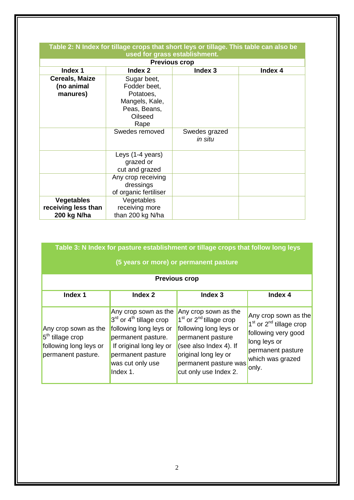| Table 2: N Index for tillage crops that short leys or tillage. This table can also be |                                                                                               |                          |         |  |
|---------------------------------------------------------------------------------------|-----------------------------------------------------------------------------------------------|--------------------------|---------|--|
| used for grass establishment.                                                         |                                                                                               |                          |         |  |
| <b>Previous crop</b>                                                                  |                                                                                               |                          |         |  |
| Index 1                                                                               | Index 2                                                                                       | Index 3                  | Index 4 |  |
| <b>Cereals, Maize</b><br>(no animal<br>manures)                                       | Sugar beet,<br>Fodder beet,<br>Potatoes,<br>Mangels, Kale,<br>Peas, Beans,<br>Oilseed<br>Rape |                          |         |  |
|                                                                                       | Swedes removed                                                                                | Swedes grazed<br>in situ |         |  |
|                                                                                       | Leys (1-4 years)<br>grazed or<br>cut and grazed                                               |                          |         |  |
|                                                                                       | Any crop receiving<br>dressings<br>of organic fertiliser                                      |                          |         |  |
| <b>Vegetables</b><br>receiving less than<br>200 kg N/ha                               | Vegetables<br>receiving more<br>than 200 kg N/ha                                              |                          |         |  |

| Table 3: N Index for pasture establishment or tillage crops that follow long leys<br>(5 years or more) or permanent pasture |                                                                                                                                                                                     |                                                                                                                                                                                                        |                                                                                                                                              |  |
|-----------------------------------------------------------------------------------------------------------------------------|-------------------------------------------------------------------------------------------------------------------------------------------------------------------------------------|--------------------------------------------------------------------------------------------------------------------------------------------------------------------------------------------------------|----------------------------------------------------------------------------------------------------------------------------------------------|--|
| <b>Previous crop</b>                                                                                                        |                                                                                                                                                                                     |                                                                                                                                                                                                        |                                                                                                                                              |  |
| Index 1                                                                                                                     | Index 2                                                                                                                                                                             | Index <sub>3</sub>                                                                                                                                                                                     | Index 4                                                                                                                                      |  |
| Any crop sown as the<br>5 <sup>th</sup> tillage crop<br>following long leys or<br>permanent pasture.                        | Any crop sown as the<br>$3rd$ or $4th$ tillage crop<br>following long leys or<br>permanent pasture.<br>If original long ley or<br>permanent pasture<br>was cut only use<br>Index 1. | Any crop sown as the<br>$1st$ or $2nd$ tillage crop<br>following long leys or<br>permanent pasture<br>(see also Index 4). If<br>original long ley or<br>permanent pasture was<br>cut only use Index 2. | Any crop sown as the<br>$1st$ or $2nd$ tillage crop<br>following very good<br>long leys or<br>permanent pasture<br>which was grazed<br>only. |  |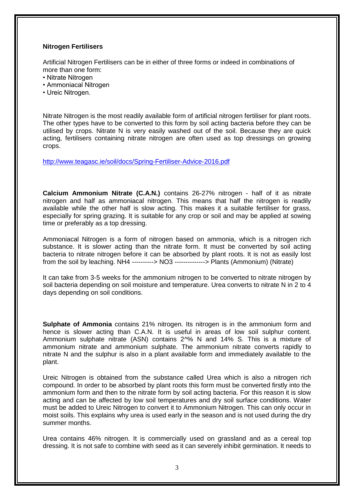#### **Nitrogen Fertilisers**

Artificial Nitrogen Fertilisers can be in either of three forms or indeed in combinations of more than one form:

- Nitrate Nitrogen
- Ammoniacal Nitrogen
- Ureic Nitrogen.

Nitrate Nitrogen is the most readily available form of artificial nitrogen fertiliser for plant roots. The other types have to be converted to this form by soil acting bacteria before they can be utilised by crops. Nitrate N is very easily washed out of the soil. Because they are quick acting, fertilisers containing nitrate nitrogen are often used as top dressings on growing crops.

<http://www.teagasc.ie/soil/docs/Spring-Fertiliser-Advice-2016.pdf>

**Calcium Ammonium Nitrate (C.A.N.)** contains 26-27% nitrogen - half of it as nitrate nitrogen and half as ammoniacal nitrogen. This means that half the nitrogen is readily available while the other half is slow acting. This makes it a suitable fertiliser for grass, especially for spring grazing. It is suitable for any crop or soil and may be applied at sowing time or preferably as a top dressing.

Ammoniacal Nitrogen is a form of nitrogen based on ammonia, which is a nitrogen rich substance. It is slower acting than the nitrate form. It must be converted by soil acting bacteria to nitrate nitrogen before it can be absorbed by plant roots. It is not as easily lost from the soil by leaching. NH4 ----------> NO3 --------------> Plants (Ammonium) (Nitrate)

It can take from 3-5 weeks for the ammonium nitrogen to be converted to nitrate nitrogen by soil bacteria depending on soil moisture and temperature. Urea converts to nitrate N in 2 to 4 days depending on soil conditions.

**Sulphate of Ammonia** contains 21% nitrogen. Its nitrogen is in the ammonium form and hence is slower acting than C.A.N. It is useful in areas of low soil sulphur content. Ammonium sulphate nitrate (ASN) contains 2^% N and 14% S. This is a mixture of ammonium nitrate and ammonium sulphate. The ammonium nitrate converts rapidly to nitrate N and the sulphur is also in a plant available form and immediately available to the plant.

Ureic Nitrogen is obtained from the substance called Urea which is also a nitrogen rich compound. In order to be absorbed by plant roots this form must be converted firstly into the ammonium form and then to the nitrate form by soil acting bacteria. For this reason it is slow acting and can be affected by low soil temperatures and dry soil surface conditions. Water must be added to Ureic Nitrogen to convert it to Ammonium Nitrogen. This can only occur in moist soils. This explains why urea is used early in the season and is not used during the dry summer months.

Urea contains 46% nitrogen. It is commercially used on grassland and as a cereal top dressing. It is not safe to combine with seed as it can severely inhibit germination. It needs to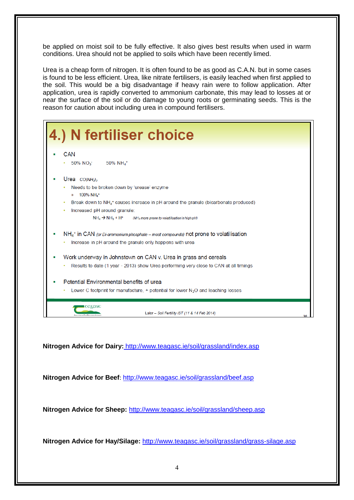be applied on moist soil to be fully effective. It also gives best results when used in warm conditions. Urea should not be applied to soils which have been recently limed.

Urea is a cheap form of nitrogen. It is often found to be as good as C.A.N. but in some cases is found to be less efficient. Urea, like nitrate fertilisers, is easily leached when first applied to the soil. This would be a big disadvantage if heavy rain were to follow application. After application, urea is rapidly converted to ammonium carbonate, this may lead to losses at or near the surface of the soil or do damage to young roots or germinating seeds. This is the reason for caution about including urea in compound fertilisers.



**Nitrogen Advice for Dairy:** <http://www.teagasc.ie/soil/grassland/index.asp>

**Nitrogen Advice for Beef**: <http://www.teagasc.ie/soil/grassland/beef.asp>

**Nitrogen Advice for Sheep:** <http://www.teagasc.ie/soil/grassland/sheep.asp>

**Nitrogen Advice for Hay/Silage:** http://www.teagasc.ie/soil/grassland/grass-silage.asp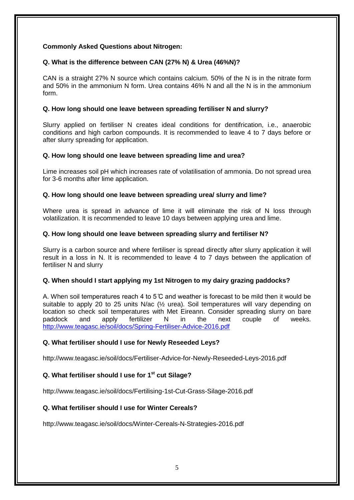## **Commonly Asked Questions about Nitrogen:**

### **Q. What is the difference between CAN (27% N) & Urea (46%N)?**

CAN is a straight 27% N source which contains calcium. 50% of the N is in the nitrate form and 50% in the ammonium N form. Urea contains 46% N and all the N is in the ammonium form.

## **Q. How long should one leave between spreading fertiliser N and slurry?**

Slurry applied on fertiliser N creates ideal conditions for dentifrication, i.e., anaerobic conditions and high carbon compounds. It is recommended to leave 4 to 7 days before or after slurry spreading for application.

#### **Q. How long should one leave between spreading lime and urea?**

Lime increases soil pH which increases rate of volatilisation of ammonia. Do not spread urea for 3-6 months after lime application.

#### **Q. How long should one leave between spreading urea/ slurry and lime?**

Where urea is spread in advance of lime it will eliminate the risk of N loss through volatilization. It is recommended to leave 10 days between applying urea and lime.

#### **Q. How long should one leave between spreading slurry and fertiliser N?**

Slurry is a carbon source and where fertiliser is spread directly after slurry application it will result in a loss in N. It is recommended to leave 4 to 7 days between the application of fertiliser N and slurry

## **Q. When should I start applying my 1st Nitrogen to my dairy grazing paddocks?**

A. When soil temperatures reach 4 to 5  $\degree$  and weather is forecast to be mild then it would be suitable to apply 20 to 25 units N/ac ( $\frac{1}{2}$  urea). Soil temperatures will vary depending on location so check soil temperatures with Met Eireann. Consider spreading slurry on bare paddock and apply fertilizer N in the next couple of weeks. <http://www.teagasc.ie/soil/docs/Spring-Fertiliser-Advice-2016.pdf>

## **Q. What fertiliser should I use for Newly Reseeded Leys?**

http://www.teagasc.ie/soil/docs/Fertiliser-Advice-for-Newly-Reseeded-Leys-2016.pdf

## **Q. What fertiliser should I use for 1st cut Silage?**

http://www.teagasc.ie/soil/docs/Fertilising-1st-Cut-Grass-Silage-2016.pdf

## **Q. What fertiliser should I use for Winter Cereals?**

http://www.teagasc.ie/soil/docs/Winter-Cereals-N-Strategies-2016.pdf